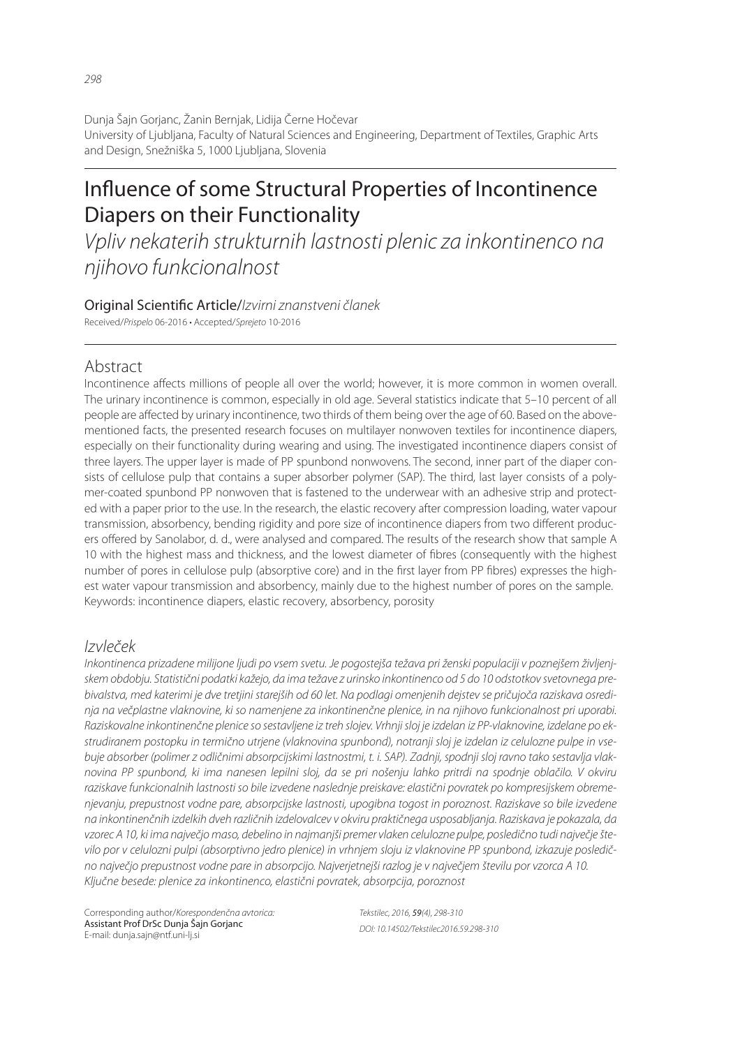Dunja Šajn Gorjanc, Žanin Bernjak, Lidija Černe Hočevar University of Ljubljana, Faculty of Natural Sciences and Engineering, Department of Textiles, Graphic Arts and Design, Snežniška 5, 1000 Ljubljana, Slovenia

# Influence of some Structural Properties of Incontinence Diapers on their Functionality

*Vpliv nekaterih strukturnih lastnosti plenic za inkontinenco na njihovo funkcionalnost*

#### Original Scienti" c Article/*Izvirni znanstveni članek* Received/*Prispelo* 06-2016 • Accepted/*Sprejeto* 10-2016

# Abstract

Incontinence affects millions of people all over the world; however, it is more common in women overall. The urinary incontinence is common, especially in old age. Several statistics indicate that 5–10 percent of all people are affected by urinary incontinence, two thirds of them being over the age of 60. Based on the abovementioned facts, the presented research focuses on multilayer nonwoven textiles for incontinence diapers, especially on their functionality during wearing and using. The investigated incontinence diapers consist of three layers. The upper layer is made of PP spunbond nonwovens. The second, inner part of the diaper consists of cellulose pulp that contains a super absorber polymer (SAP). The third, last layer consists of a polymer-coated spunbond PP nonwoven that is fastened to the underwear with an adhesive strip and protected with a paper prior to the use. In the research, the elastic recovery after compression loading, water vapour transmission, absorbency, bending rigidity and pore size of incontinence diapers from two different producers offered by Sanolabor, d. d., were analysed and compared. The results of the research show that sample A 10 with the highest mass and thickness, and the lowest diameter of fibres (consequently with the highest number of pores in cellulose pulp (absorptive core) and in the first layer from PP fibres) expresses the highest water vapour transmission and absorbency, mainly due to the highest number of pores on the sample. Keywords: incontinence diapers, elastic recovery, absorbency, porosity

# *Izvleček*

*Inkontinenca prizadene milijone ljudi po vsem svetu. Je pogostejša težava pri ženski populaciji v poznejšem življenjskem obdobju. Statistični podatki kažejo, da ima težave z urinsko inkontinenco od 5 do 10 odstotkov svetovnega prebivalstva, med katerimi je dve tretjini starejših od 60 let. Na podlagi omenjenih dejstev se pričujoča raziskava osredinja na večplastne vlaknovine, ki so namenjene za inkontinenčne plenice, in na njihovo funkcionalnost pri uporabi. Raziskovalne inkontinenčne plenice so sestavljene iz treh slojev. Vrhnji sloj je izdelan iz PP-vlaknovine, izdelane po ekstrudiranem postopku in termično utrjene (vlaknovina spunbond), notranji sloj je izdelan iz celulozne pulpe in vsebuje absorber (polimer z odličnimi absorpcijskimi lastnostmi, t. i. SAP). Zadnji, spodnji sloj ravno tako sestavlja vlaknovina PP spunbond, ki ima nanesen lepilni sloj, da se pri nošenju lahko pritrdi na spodnje oblačilo. V okviru raziskave funkcionalnih lastnosti so bile izvedene naslednje preiskave: elastični povratek po kompresijskem obremenjevanju, prepustnost vodne pare, absorpcijske lastnosti, upogibna togost in poroznost. Raziskave so bile izvedene na inkontinenčnih izdelkih dveh različnih izdelovalcev v okviru praktičnega usposabljanja. Raziskava je pokazala, da vzorec A 10, ki ima največjo maso, debelino in najmanjši premer vlaken celulozne pulpe, posledično tudi največje število por v celulozni pulpi (absorptivno jedro plenice) in vrhnjem sloju iz vlaknovine PP spunbond, izkazuje posledično največjo prepustnost vodne pare in absorpcijo. Najverjetnejši razlog je v največjem številu por vzorca A 10. Ključne besede: plenice za inkontinenco, elastični povratek, absorpcija, poroznost*

Corresponding author/*Korespondenčna avtorica:* Assistant Prof DrSc Dunja Šajn Gorjanc E-mail: dunja.sajn@ntf.uni-lj.si

*Tekstilec, 2016,* 59*(4), 298-310 DOI: 10.14502/Tekstilec2016.59.298-310*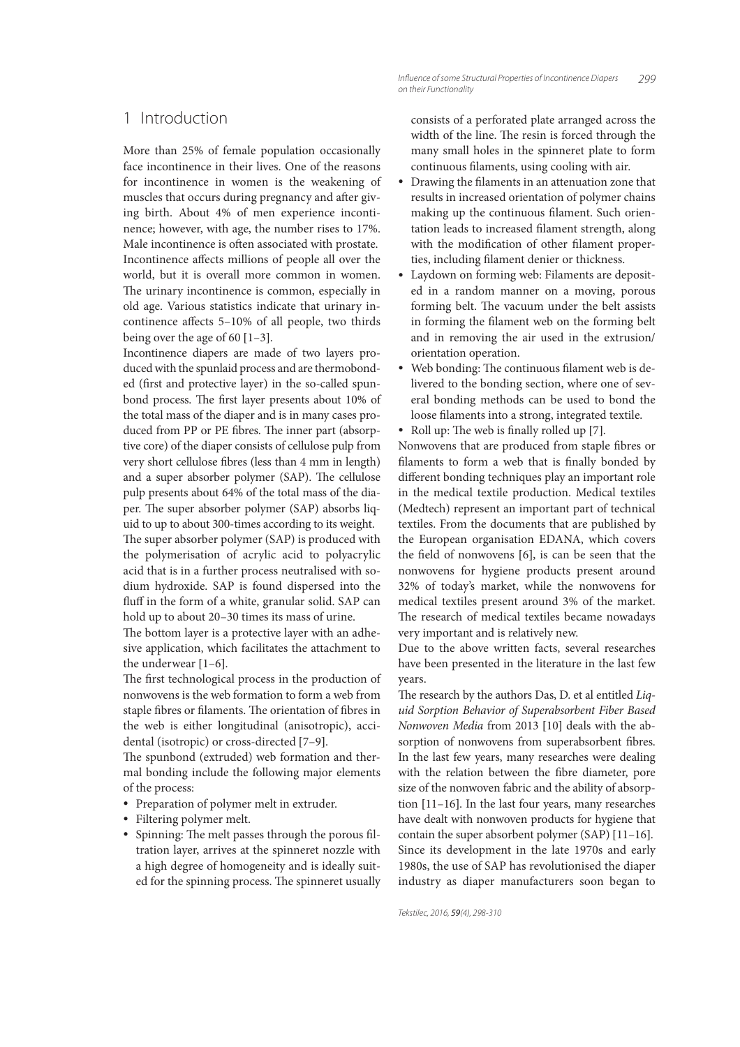# 1 Introduction

More than 25% of female population occasionally face incontinence in their lives. One of the reasons for incontinence in women is the weakening of muscles that occurs during pregnancy and after giving birth. About 4% of men experience incontinence; however, with age, the number rises to 17%. Male incontinence is often associated with prostate. Incontinence affects millions of people all over the world, but it is overall more common in women. The urinary incontinence is common, especially in old age. Various statistics indicate that urinary incontinence affects  $5-10%$  of all people, two thirds being over the age of 60  $[1-3]$ .

Incontinence diapers are made of two layers produced with the spunlaid process and are thermobonded (first and protective layer) in the so-called spunbond process. The first layer presents about 10% of the total mass of the diaper and is in many cases produced from PP or PE fibres. The inner part (absorptive core) of the diaper consists of cellulose pulp from very short cellulose fibres (less than 4 mm in length) and a super absorber polymer (SAP). The cellulose pulp presents about 64% of the total mass of the diaper. The super absorber polymer (SAP) absorbs liquid to up to about 300-times according to its weight. The super absorber polymer (SAP) is produced with the polymerisation of acrylic acid to polyacrylic acid that is in a further process neutralised with sodium hydroxide. SAP is found dispersed into the

hold up to about 20–30 times its mass of urine. The bottom layer is a protective layer with an adhesive application, which facilitates the attachment to the underwear [1–6].

fluff in the form of a white, granular solid. SAP can

The first technological process in the production of nonwovens is the web formation to form a web from staple fibres or filaments. The orientation of fibres in the web is either longitudinal (anisotropic), accidental (isotropic) or cross-directed [7–9].

The spunbond (extruded) web formation and thermal bonding include the following major elements of the process:

- Preparation of polymer melt in extruder.
- Filtering polymer melt.
- Spinning: The melt passes through the porous filtration layer, arrives at the spinneret nozzle with a high degree of homogeneity and is ideally suited for the spinning process. The spinneret usually

consists of a perforated plate arranged across the width of the line. The resin is forced through the many small holes in the spinneret plate to form continuous filaments, using cooling with air.

- Drawing the filaments in an attenuation zone that results in increased orientation of polymer chains making up the continuous filament. Such orientation leads to increased filament strength, along with the modification of other filament properties, including filament denier or thickness.
- Laydown on forming web: Filaments are deposited in a random manner on a moving, porous forming belt. The vacuum under the belt assists in forming the filament web on the forming belt and in removing the air used in the extrusion/ orientation operation.
- Web bonding: The continuous filament web is delivered to the bonding section, where one of several bonding methods can be used to bond the loose filaments into a strong, integrated textile.
- Roll up: The web is finally rolled up [7].

Nonwovens that are produced from staple fibres or filaments to form a web that is finally bonded by different bonding techniques play an important role in the medical textile production. Medical textiles (Medtech) represent an important part of technical textiles. From the documents that are published by the European organisation EDANA, which covers the field of nonwovens  $[6]$ , is can be seen that the nonwovens for hygiene products present around 32% of today's market, while the nonwovens for medical textiles present around 3% of the market. The research of medical textiles became nowadays very important and is relatively new.

Due to the above written facts, several researches have been presented in the literature in the last few years.

The research by the authors Das, D. et al entitled Liquid Sorption Behavior of Superabsorbent Fiber Based Nonwoven Media from 2013 [10] deals with the absorption of nonwovens from superabsorbent fibres. In the last few years, many researches were dealing with the relation between the fibre diameter, pore size of the nonwoven fabric and the ability of absorption [11–16]. In the last four years, many researches have dealt with nonwoven products for hygiene that contain the super absorbent polymer (SAP) [11–16]. Since its development in the late 1970s and early 1980s, the use of SAP has revolutionised the diaper industry as diaper manufacturers soon began to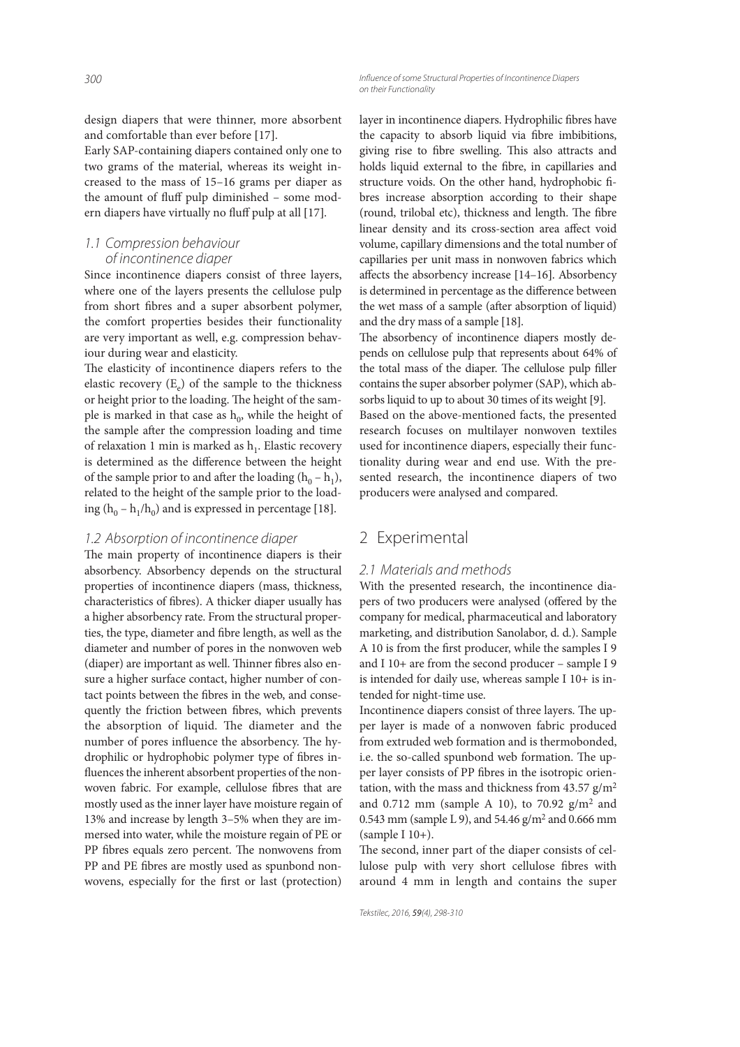design diapers that were thinner, more absorbent and comfortable than ever before [17].

Early SAP-containing diapers contained only one to two grams of the material, whereas its weight increased to the mass of 15–16 grams per diaper as the amount of fluff pulp diminished - some modern diapers have virtually no fluff pulp at all [17].

# *1.1 Compression behaviour of incontinence diaper*

Since incontinence diapers consist of three layers, where one of the layers presents the cellulose pulp from short fibres and a super absorbent polymer, the comfort properties besides their functionality are very important as well, e.g. compression behaviour during wear and elasticity.

The elasticity of incontinence diapers refers to the elastic recovery  $(E_e)$  of the sample to the thickness or height prior to the loading. The height of the sample is marked in that case as  $h_0$ , while the height of the sample after the compression loading and time of relaxation 1 min is marked as  $\mathbf{h}_1$  . Elastic recovery is determined as the difference between the height of the sample prior to and after the loading  $(h_0 - h_1)$ , related to the height of the sample prior to the loading  $(h_0 - h_1/h_0)$  and is expressed in percentage [18].

### *1.2 Absorption of incontinence diaper*

The main property of incontinence diapers is their absorbency. Absorbency depends on the structural properties of incontinence diapers (mass, thickness, characteristics of fibres). A thicker diaper usually has a higher absorbency rate. From the structural properties, the type, diameter and fibre length, as well as the diameter and number of pores in the nonwoven web (diaper) are important as well. Thinner fibres also ensure a higher surface contact, higher number of contact points between the fibres in the web, and consequently the friction between fibres, which prevents the absorption of liquid. The diameter and the number of pores influence the absorbency. The hydrophilic or hydrophobic polymer type of fibres influences the inherent absorbent properties of the nonwoven fabric. For example, cellulose fibres that are mostly used as the inner layer have moisture regain of 13% and increase by length 3–5% when they are immersed into water, while the moisture regain of PE or PP fibres equals zero percent. The nonwovens from PP and PE fibres are mostly used as spunbond nonwovens, especially for the first or last (protection) layer in incontinence diapers. Hydrophilic fibres have the capacity to absorb liquid via fibre imbibitions, giving rise to fibre swelling. This also attracts and holds liquid external to the fibre, in capillaries and structure voids. On the other hand, hydrophobic fibres increase absorption according to their shape (round, trilobal etc), thickness and length. The fibre linear density and its cross-section area affect void volume, capillary dimensions and the total number of capillaries per unit mass in nonwoven fabrics which affects the absorbency increase  $[14–16]$ . Absorbency is determined in percentage as the difference between the wet mass of a sample (after absorption of liquid) and the dry mass of a sample [18].

The absorbency of incontinence diapers mostly depends on cellulose pulp that represents about 64% of the total mass of the diaper. The cellulose pulp filler contains the super absorber polymer (SAP), which absorbs liquid to up to about 30 times of its weight [9]. Based on the above-mentioned facts, the presented research focuses on multilayer nonwoven textiles used for incontinence diapers, especially their functionality during wear and end use. With the presented research, the incontinence diapers of two producers were analysed and compared.

# 2 Experimental

#### *2.1 Materials and methods*

With the presented research, the incontinence diapers of two producers were analysed (offered by the company for medical, pharmaceutical and laboratory marketing, and distribution Sanolabor, d. d.). Sample A 10 is from the first producer, while the samples I 9 and I 10+ are from the second producer – sample I 9 is intended for daily use, whereas sample I 10+ is intended for night-time use.

Incontinence diapers consist of three layers. The upper layer is made of a nonwoven fabric produced from extruded web formation and is thermobonded, i.e. the so-called spunbond web formation. The upper layer consists of PP fibres in the isotropic orientation, with the mass and thickness from  $43.57$  g/m<sup>2</sup> and  $0.712$  mm (sample A 10), to 70.92  $g/m^2$  and 0.543 mm (sample L 9), and 54.46 g/m<sup>2</sup> and 0.666 mm (sample I 10+).

The second, inner part of the diaper consists of cellulose pulp with very short cellulose fibres with around 4 mm in length and contains the super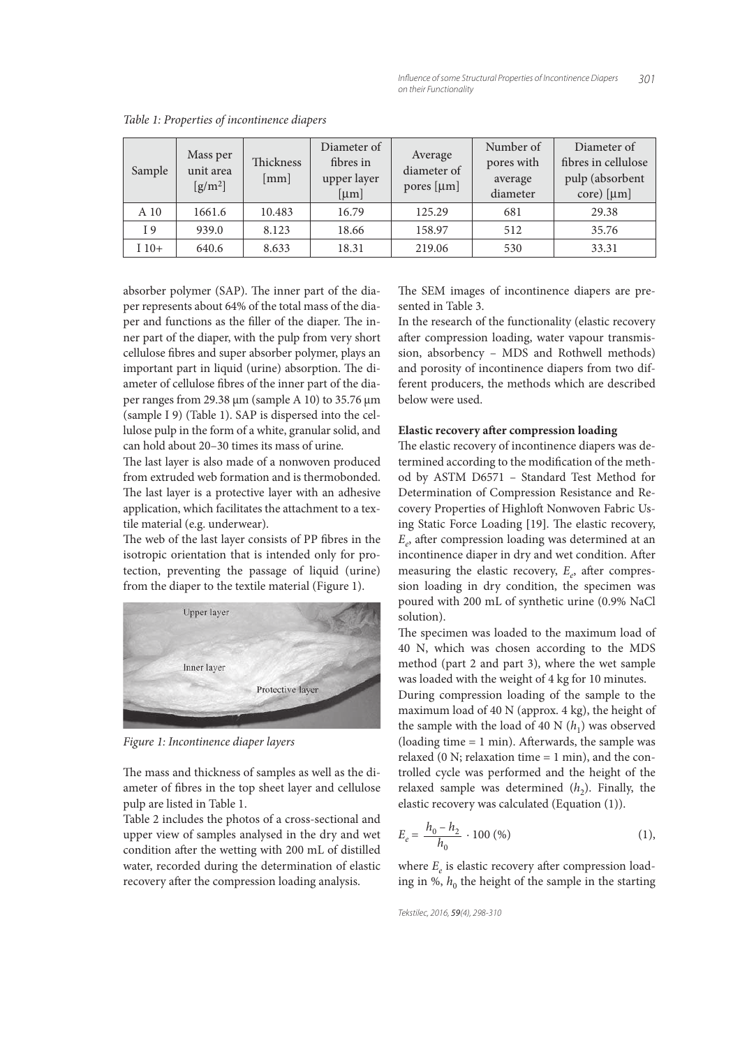| Sample | Mass per<br>unit area<br>$\left[\frac{g}{m^2}\right]$ | Thickness<br>[mm] | Diameter of<br>fibres in<br>upper layer<br>[µm] | Average<br>diameter of<br>pores [µm] | Number of<br>pores with<br>average<br>diameter | Diameter of<br>fibres in cellulose<br>pulp (absorbent<br>$core)$ [ $\mu$ m] |
|--------|-------------------------------------------------------|-------------------|-------------------------------------------------|--------------------------------------|------------------------------------------------|-----------------------------------------------------------------------------|
| A 10   | 1661.6                                                | 10.483            | 16.79                                           | 125.29                               | 681                                            | 29.38                                                                       |
| I 9    | 939.0                                                 | 8.123             | 18.66                                           | 158.97                               | 512                                            | 35.76                                                                       |
| $110+$ | 640.6                                                 | 8.633             | 18.31                                           | 219.06                               | 530                                            | 33.31                                                                       |

Table 1: Properties of incontinence diapers

absorber polymer (SAP). The inner part of the diaper represents about 64% of the total mass of the diaper and functions as the filler of the diaper. The inner part of the diaper, with the pulp from very short cellulose fibres and super absorber polymer, plays an important part in liquid (urine) absorption. The diameter of cellulose fibres of the inner part of the diaper ranges from 29.38 µm (sample A 10) to 35.76 µm (sample I 9) (Table 1). SAP is dispersed into the cellulose pulp in the form of a white, granular solid, and can hold about 20–30 times its mass of urine.

The last layer is also made of a nonwoven produced from extruded web formation and is thermobonded. The last layer is a protective layer with an adhesive application, which facilitates the attachment to a textile material (e.g. underwear).

The web of the last layer consists of PP fibres in the isotropic orientation that is intended only for protection, preventing the passage of liquid (urine) from the diaper to the textile material (Figure 1).



Figure 1: Incontinence diaper layers

The mass and thickness of samples as well as the diameter of fibres in the top sheet layer and cellulose pulp are listed in Table 1.

Table 2 includes the photos of a cross-sectional and upper view of samples analysed in the dry and wet condition after the wetting with 200 mL of distilled water, recorded during the determination of elastic recovery after the compression loading analysis.

The SEM images of incontinence diapers are presented in Table 3.

In the research of the functionality (elastic recovery after compression loading, water vapour transmission, absorbency – MDS and Rothwell methods) and porosity of incontinence diapers from two different producers, the methods which are described below were used.

### **Elastic recovery after compression loading**

The elastic recovery of incontinence diapers was determined according to the modification of the method by ASTM D6571 – Standard Test Method for Determination of Compression Resistance and Recovery Properties of Highloft Nonwoven Fabric Using Static Force Loading [19]. The elastic recovery,  $E_e$  after compression loading was determined at an incontinence diaper in dry and wet condition. After measuring the elastic recovery,  $E_e$ , after compression loading in dry condition, the specimen was poured with 200 mL of synthetic urine (0.9% NaCl solution).

The specimen was loaded to the maximum load of 40 N, which was chosen according to the MDS method (part 2 and part 3), where the wet sample was loaded with the weight of 4 kg for 10 minutes.

During compression loading of the sample to the maximum load of 40 N (approx. 4 kg), the height of the sample with the load of 40 N  $(h_1)$  was observed (loading time  $= 1$  min). Afterwards, the sample was relaxed  $(0 \text{ N}$ ; relaxation time = 1 min), and the controlled cycle was performed and the height of the relaxed sample was determined  $(h_2)$ . Finally, the elastic recovery was calculated (Equation (1)).

$$
E_e = \frac{h_0 - h_2}{h_0} \cdot 100\,\text{(%)} \tag{1}
$$

where  $E_e$  is elastic recovery after compression loading in %,  $h_0$  the height of the sample in the starting

```
Tekstilec, 2016, 59(4), 298-310
```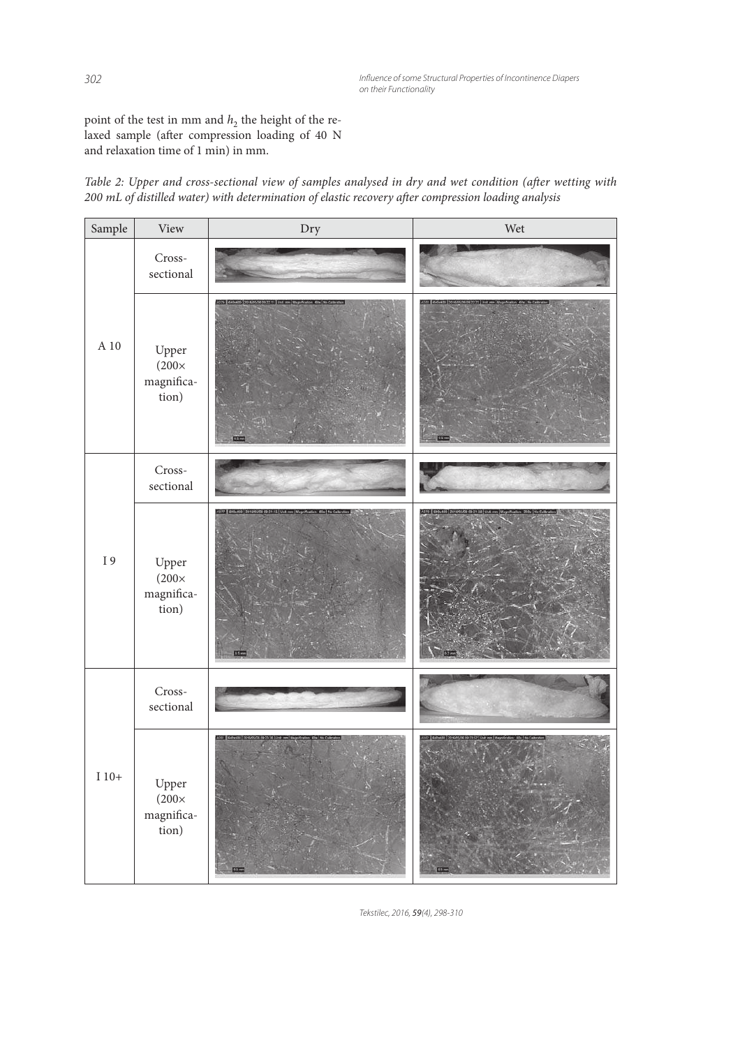point of the test in mm and  $h_2$  the height of the relaxed sample (after compression loading of 40 N and relaxation time of 1 min) in mm.



| Sample             | View                                         | Dry                                                                                          | Wet                                                                                                    |
|--------------------|----------------------------------------------|----------------------------------------------------------------------------------------------|--------------------------------------------------------------------------------------------------------|
|                    | Cross-<br>sectional                          |                                                                                              |                                                                                                        |
| A 10               | Upper<br>$(200\times$<br>magnifica-<br>tion) | A079 640x400 2016/05/26 09:22:11 Unit mm Wagnification, 60x No Calibration<br><b>CSTO</b>    | 003    040x430    2016/05/26 09:22:23    Unit: rem    Wagnification    60x    No Calibra<br><b>OST</b> |
|                    | Cross-<br>sectional                          |                                                                                              |                                                                                                        |
| $\,$ I $\,$ 9 $\,$ | Upper<br>$(200\times$<br>magnifica-<br>tion) | ABTT # 640x488 2016/05/26 09:21.15 Unit mm   Magnification: 60x   No Ca<br>$0.5 - 1$         | <b>STO</b>                                                                                             |
|                    | Cross-<br>sectional                          |                                                                                              |                                                                                                        |
| $\!10+$            | Upper<br>$(200\times$<br>magnifica-<br>tion) | AOST   645x635   2016/05/26 09:23:36   Unit: ren   Magnification: 60x   too Calibration<br>œ | 02   640x408 2016/05/26 09:                                                                            |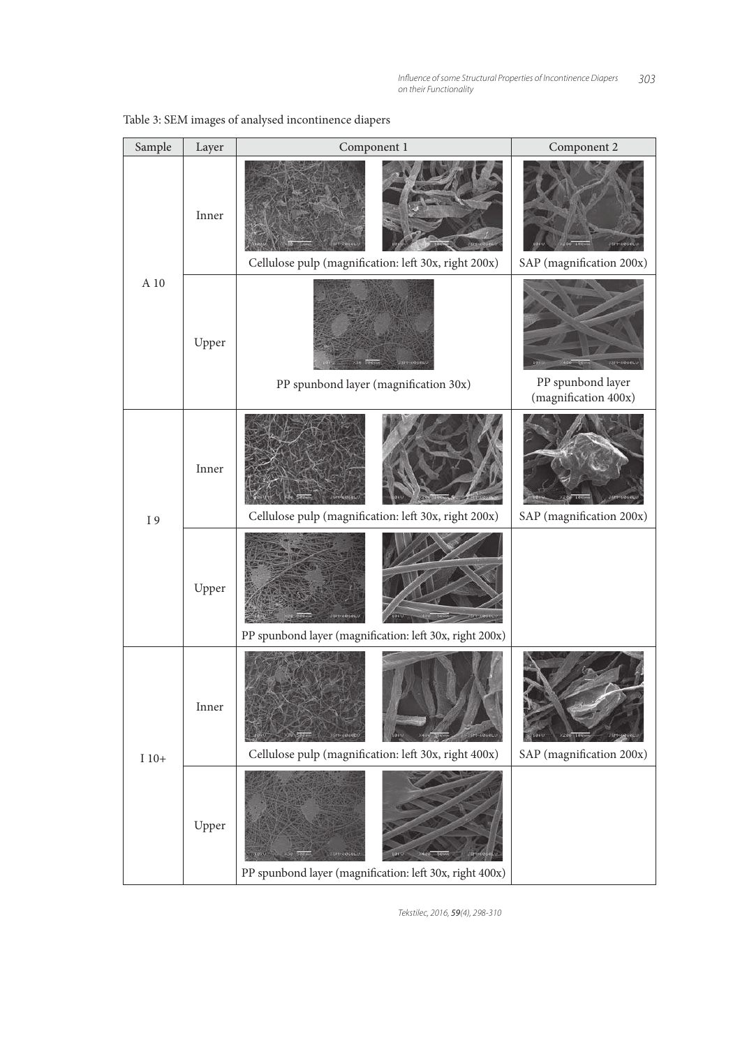| Sample  | Layer | Component 1                                                            | Component 2                                  |
|---------|-------|------------------------------------------------------------------------|----------------------------------------------|
|         | Inner | Cellulose pulp (magnification: left 30x, right 200x)                   | <b>75H-6060L</b><br>SAP (magnification 200x) |
| A 10    | Upper | PP spunbond layer (magnification 30x)                                  | PP spunbond layer<br>(magnification 400x)    |
| I 9     | Inner | Cellulose pulp (magnification: left 30x, right 200x)                   | SAP (magnification 200x)                     |
|         | Upper | PP spunbond layer (magnification: left 30x, right 200x)                |                                              |
| $I$ 10+ | Inner | 5M-6060<br>Cellulose pulp (magnification: left 30x, right 400x)        | SAP (magnification 200x)                     |
|         | Upper | 2911-6040LV<br>PP spunbond layer (magnification: left 30x, right 400x) |                                              |

# Table 3: SEM images of analysed incontinence diapers

*Tekstilec, 2016,* 59*(4), 298-310*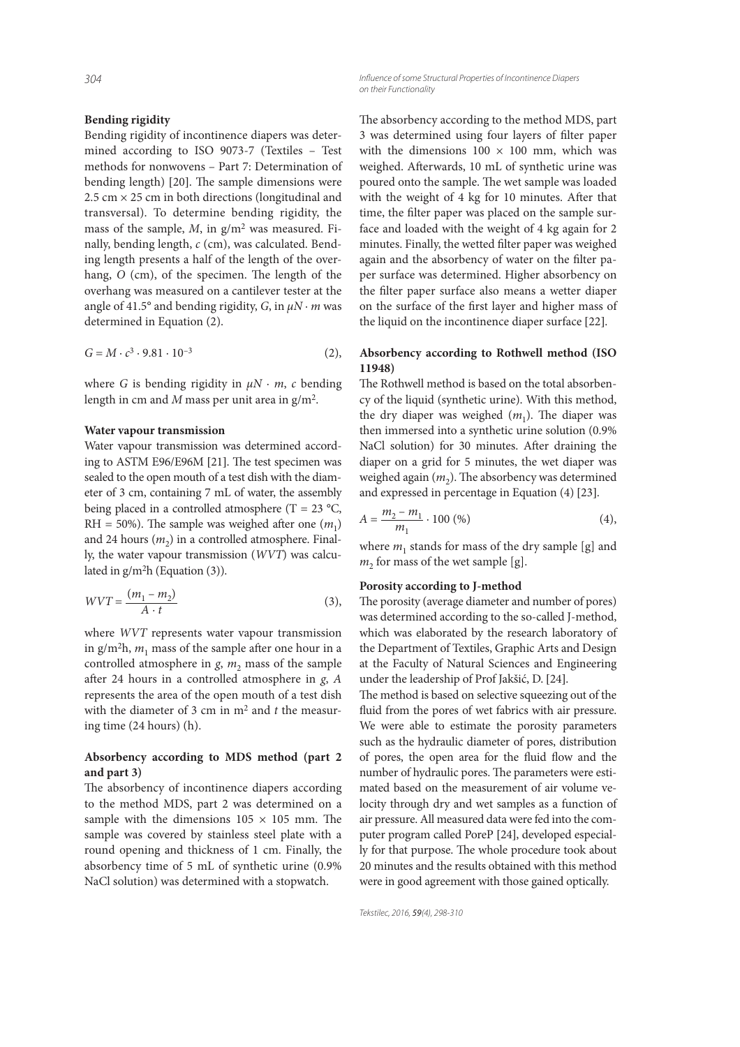#### **Bending rigidity**

Bending rigidity of incontinence diapers was determined according to ISO 9073-7 (Textiles – Test methods for nonwovens – Part 7: Determination of bending length) [20]. The sample dimensions were  $2.5$  cm  $\times$  25 cm in both directions (longitudinal and transversal). To determine bending rigidity, the mass of the sample,  $M$ , in  $g/m^2$  was measured. Finally, bending length, c (cm), was calculated. Bending length presents a half of the length of the overhang,  $O$  (cm), of the specimen. The length of the overhang was measured on a cantilever tester at the angle of 41.5° and bending rigidity, G, in  $\mu N \cdot m$  was determined in Equation (2).

$$
G = M \cdot c^3 \cdot 9.81 \cdot 10^{-3} \tag{2}
$$

where G is bending rigidity in  $\mu N \cdot m$ , c bending length in cm and M mass per unit area in  $g/m<sup>2</sup>$ .

#### **Water vapour transmission**

Water vapour transmission was determined according to ASTM E96/E96M [21]. The test specimen was sealed to the open mouth of a test dish with the diameter of 3 cm, containing 7 mL of water, the assembly being placed in a controlled atmosphere (T = 23  $^{\circ}$ C, RH = 50%). The sample was weighed after one  $(m_1)$ and 24 hours  $(m_2)$  in a controlled atmosphere. Finally, the water vapour transmission (WVT) was calculated in g/m<sup>2</sup>h (Equation (3)).

$$
WVT = \frac{(m_1 - m_2)}{A \cdot t} \tag{3},
$$

where WVT represents water vapour transmission in g/m<sup>2</sup>h,  $m_1$  mass of the sample after one hour in a controlled atmosphere in  $g$ ,  $m_2$  mass of the sample after 24 hours in a controlled atmosphere in  $g$ ,  $A$ represents the area of the open mouth of a test dish with the diameter of 3 cm in  $m<sup>2</sup>$  and t the measuring time (24 hours) (h).

#### **Absorbency according to MDS method (part 2 and part 3)**

The absorbency of incontinence diapers according to the method MDS, part 2 was determined on a sample with the dimensions  $105 \times 105$  mm. The sample was covered by stainless steel plate with a round opening and thickness of 1 cm. Finally, the absorbency time of 5 mL of synthetic urine (0.9% NaCl solution) was determined with a stopwatch.

*304 Infl uence of some Structural Properties of Incontinence Diapers on their Functionality*

> The absorbency according to the method MDS, part 3 was determined using four layers of filter paper with the dimensions  $100 \times 100$  mm, which was weighed. Afterwards, 10 mL of synthetic urine was poured onto the sample. The wet sample was loaded with the weight of 4 kg for 10 minutes. After that time, the filter paper was placed on the sample surface and loaded with the weight of 4 kg again for 2 minutes. Finally, the wetted filter paper was weighed again and the absorbency of water on the filter paper surface was determined. Higher absorbency on the filter paper surface also means a wetter diaper on the surface of the first layer and higher mass of the liquid on the incontinence diaper surface [22].

#### **Absorbency according to Rothwell method (ISO 11948)**

The Rothwell method is based on the total absorbency of the liquid (synthetic urine). With this method, the dry diaper was weighed  $(m_1)$ . The diaper was then immersed into a synthetic urine solution (0.9% NaCl solution) for 30 minutes. After draining the diaper on a grid for 5 minutes, the wet diaper was weighed again  $\left(m_{2}\right)$ . The absorbency was determined and expressed in percentage in Equation (4) [23].

$$
A = \frac{m_2 - m_1}{m_1} \cdot 100\,(\%) \tag{4}
$$

where  $m_1$  stands for mass of the dry sample [g] and  $m_2$  for mass of the wet sample [g].

#### **Porosity according to J-method**

The porosity (average diameter and number of pores) was determined according to the so-called J-method, which was elaborated by the research laboratory of the Department of Textiles, Graphic Arts and Design at the Faculty of Natural Sciences and Engineering under the leadership of Prof Jakšić, D. [24].

The method is based on selective squeezing out of the fluid from the pores of wet fabrics with air pressure. We were able to estimate the porosity parameters such as the hydraulic diameter of pores, distribution of pores, the open area for the fluid flow and the number of hydraulic pores. The parameters were estimated based on the measurement of air volume velocity through dry and wet samples as a function of air pressure. All measured data were fed into the computer program called PoreP [24], developed especially for that purpose. The whole procedure took about 20 minutes and the results obtained with this method were in good agreement with those gained optically.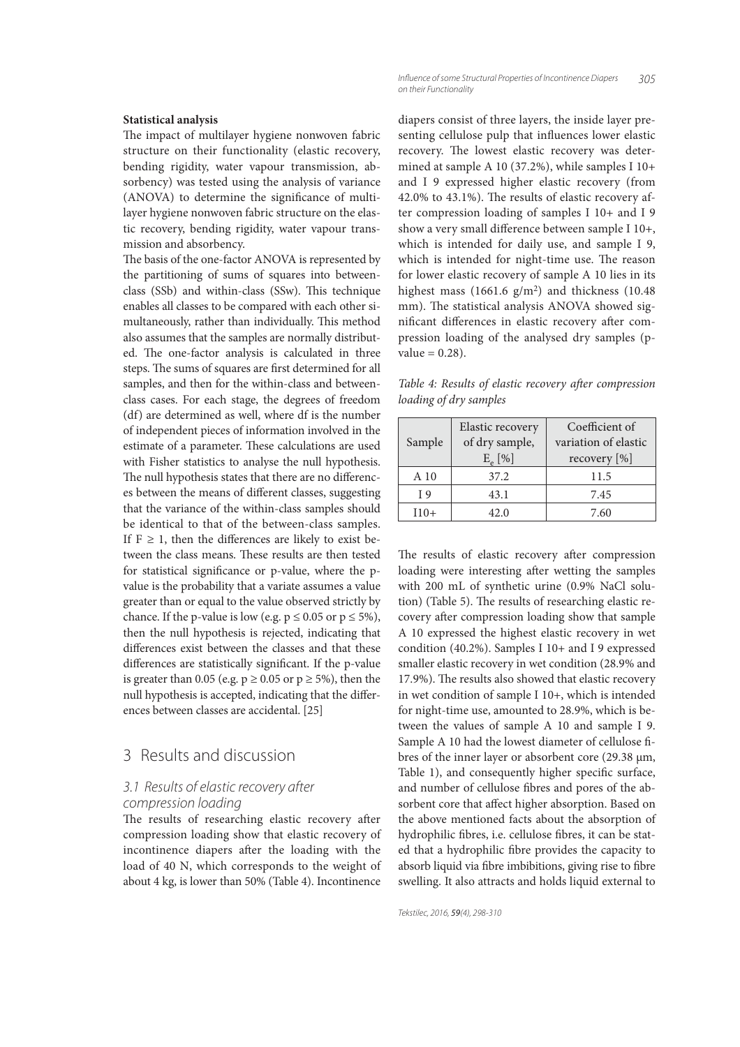#### **Statistical analysis**

The impact of multilayer hygiene nonwoven fabric structure on their functionality (elastic recovery, bending rigidity, water vapour transmission, absorbency) was tested using the analysis of variance (ANOVA) to determine the significance of multilayer hygiene nonwoven fabric structure on the elastic recovery, bending rigidity, water vapour transmission and absorbency.

The basis of the one-factor ANOVA is represented by the partitioning of sums of squares into betweenclass (SSb) and within-class (SSw). This technique enables all classes to be compared with each other simultaneously, rather than individually. This method also assumes that the samples are normally distributed. The one-factor analysis is calculated in three steps. The sums of squares are first determined for all samples, and then for the within-class and betweenclass cases. For each stage, the degrees of freedom (df) are determined as well, where df is the number of independent pieces of information involved in the estimate of a parameter. These calculations are used with Fisher statistics to analyse the null hypothesis. The null hypothesis states that there are no differences between the means of different classes, suggesting that the variance of the within-class samples should be identical to that of the between-class samples. If  $F \geq 1$ , then the differences are likely to exist between the class means. These results are then tested for statistical significance or p-value, where the pvalue is the probability that a variate assumes a value greater than or equal to the value observed strictly by chance. If the p-value is low (e.g.  $p \le 0.05$  or  $p \le 5\%$ ), then the null hypothesis is rejected, indicating that differences exist between the classes and that these differences are statistically significant. If the p-value is greater than 0.05 (e.g.  $p \ge 0.05$  or  $p \ge 5\%$ ), then the null hypothesis is accepted, indicating that the differences between classes are accidental. [25]

# 3 Results and discussion

# *3.1 Results of elastic recovery after compression loading*

The results of researching elastic recovery after compression loading show that elastic recovery of incontinence diapers after the loading with the load of 40 N, which corresponds to the weight of about 4 kg, is lower than 50% (Table 4). Incontinence diapers consist of three layers, the inside layer presenting cellulose pulp that influences lower elastic recovery. The lowest elastic recovery was determined at sample A 10 (37.2%), while samples I 10+ and I 9 expressed higher elastic recovery (from  $42.0\%$  to  $43.1\%$ ). The results of elastic recovery after compression loading of samples I 10+ and I 9 show a very small difference between sample I 10+, which is intended for daily use, and sample I 9, which is intended for night-time use. The reason for lower elastic recovery of sample A 10 lies in its highest mass (1661.6 g/m<sup>2</sup>) and thickness (10.48 mm). The statistical analysis ANOVA showed significant differences in elastic recovery after compression loading of the analysed dry samples (p $value = 0.28$ ).

Table 4: Results of elastic recovery after compression loading of dry samples

| Sample | Elastic recovery<br>of dry sample,<br>$E_e$ [%] | Coefficient of<br>variation of elastic<br>recovery [%] |
|--------|-------------------------------------------------|--------------------------------------------------------|
| A 10   | 37.2                                            | 11.5                                                   |
| I 9    | 43.1                                            | 7.45                                                   |
| $110+$ | 42.0                                            | 7.60                                                   |

The results of elastic recovery after compression loading were interesting after wetting the samples with 200 mL of synthetic urine (0.9% NaCl solution) (Table 5). The results of researching elastic recovery after compression loading show that sample A 10 expressed the highest elastic recovery in wet condition (40.2%). Samples I 10+ and I 9 expressed smaller elastic recovery in wet condition (28.9% and 17.9%). The results also showed that elastic recovery in wet condition of sample I 10+, which is intended for night-time use, amounted to 28.9%, which is between the values of sample A 10 and sample I 9. Sample A 10 had the lowest diameter of cellulose fibres of the inner layer or absorbent core (29.38 µm, Table 1), and consequently higher specific surface, and number of cellulose fibres and pores of the absorbent core that affect higher absorption. Based on the above mentioned facts about the absorption of hydrophilic fibres, i.e. cellulose fibres, it can be stated that a hydrophilic fibre provides the capacity to absorb liquid via fibre imbibitions, giving rise to fibre swelling. It also attracts and holds liquid external to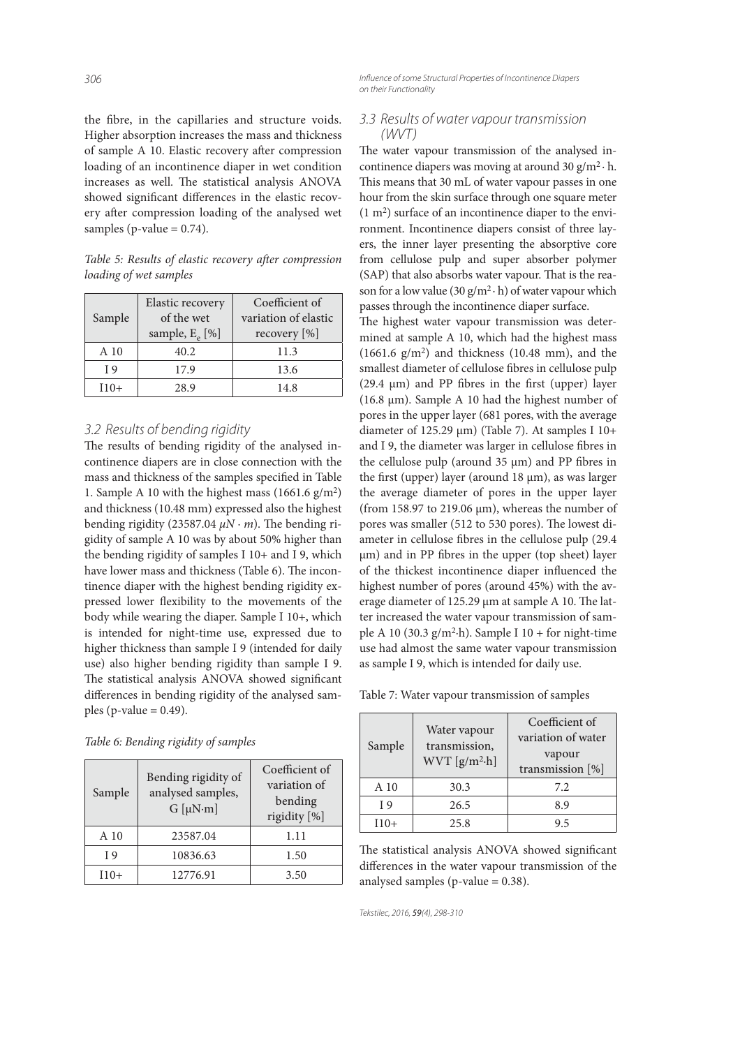the fibre, in the capillaries and structure voids. Higher absorption increases the mass and thickness of sample A 10. Elastic recovery after compression loading of an incontinence diaper in wet condition increases as well. The statistical analysis ANOVA showed significant differences in the elastic recovery after compression loading of the analysed wet samples ( $p$ -value = 0.74).

Table 5: Results of elastic recovery after compression loading of wet samples

| Sample | Elastic recovery<br>of the wet<br>sample, $E_e$ [%] | Coefficient of<br>variation of elastic<br>recovery $[\%]$ |
|--------|-----------------------------------------------------|-----------------------------------------------------------|
| A 10   | 40.2                                                | 11.3                                                      |
| T 9    | 17.9                                                | 13.6                                                      |
| $110+$ | 28.9                                                | 14.8                                                      |

# *3.2 Results of bending rigidity*

The results of bending rigidity of the analysed incontinence diapers are in close connection with the mass and thickness of the samples specified in Table 1. Sample A 10 with the highest mass  $(1661.6 \text{ g/m}^2)$ and thickness (10.48 mm) expressed also the highest bending rigidity (23587.04  $\mu$ N · m). The bending rigidity of sample A 10 was by about 50% higher than the bending rigidity of samples I 10+ and I 9, which have lower mass and thickness (Table 6). The incontinence diaper with the highest bending rigidity expressed lower flexibility to the movements of the body while wearing the diaper. Sample I 10+, which is intended for night-time use, expressed due to higher thickness than sample I 9 (intended for daily use) also higher bending rigidity than sample I 9. The statistical analysis ANOVA showed significant differences in bending rigidity of the analysed samples (p-value  $= 0.49$ ).

| Sample | Bending rigidity of<br>analysed samples,<br>$G[\mu N \cdot m]$ | Coefficient of<br>variation of<br>bending<br>rigidity [%] |
|--------|----------------------------------------------------------------|-----------------------------------------------------------|
| A 10   | 23587.04                                                       | 1.11                                                      |
| T 9    | 10836.63                                                       | 1.50                                                      |
| $110+$ | 12776.91                                                       | 3.50                                                      |

*306 Infl uence of some Structural Properties of Incontinence Diapers on their Functionality*

#### *3.3 Results of water vapour transmission (WVT)*

The water vapour transmission of the analysed incontinence diapers was moving at around 30  $g/m^2 \cdot h$ . This means that 30 mL of water vapour passes in one hour from the skin surface through one square meter (1 m<sup>2</sup> ) surface of an incontinence diaper to the environment. Incontinence diapers consist of three layers, the inner layer presenting the absorptive core from cellulose pulp and super absorber polymer (SAP) that also absorbs water vapour. That is the reason for a low value (30  $g/m^2 \cdot h$ ) of water vapour which passes through the incontinence diaper surface.

The highest water vapour transmission was determined at sample A 10, which had the highest mass  $(1661.6 \text{ g/m}^2)$  and thickness  $(10.48 \text{ mm})$ , and the smallest diameter of cellulose fibres in cellulose pulp (29.4  $\mu$ m) and PP fibres in the first (upper) layer (16.8 µm). Sample A 10 had the highest number of pores in the upper layer (681 pores, with the average diameter of 125.29  $\mu$ m) (Table 7). At samples I 10+ and I 9, the diameter was larger in cellulose fibres in the cellulose pulp (around  $35 \mu m$ ) and PP fibres in the first (upper) layer (around  $18 \mu m$ ), as was larger the average diameter of pores in the upper layer (from 158.97 to 219.06 µm), whereas the number of pores was smaller (512 to 530 pores). The lowest diameter in cellulose fibres in the cellulose pulp (29.4) µm) and in PP fibres in the upper (top sheet) layer of the thickest incontinence diaper influenced the highest number of pores (around 45%) with the average diameter of 125.29  $\mu$ m at sample A 10. The latter increased the water vapour transmission of sample A 10 (30.3  $g/m^2$ -h). Sample I 10 + for night-time use had almost the same water vapour transmission as sample I 9, which is intended for daily use.

Table 7: Water vapour transmission of samples

| Sample | Water vapour<br>transmission,<br>$WVT [g/m^2-h]$ | Coefficient of<br>variation of water<br>vapour<br>transmission [%] |
|--------|--------------------------------------------------|--------------------------------------------------------------------|
| A 10   | 30.3                                             | 7.2.                                                               |
| I 9    | 26.5                                             | 8.9                                                                |
| I10+   | 25.8                                             | 9.5                                                                |

The statistical analysis ANOVA showed significant differences in the water vapour transmission of the analysed samples ( $p$ -value = 0.38).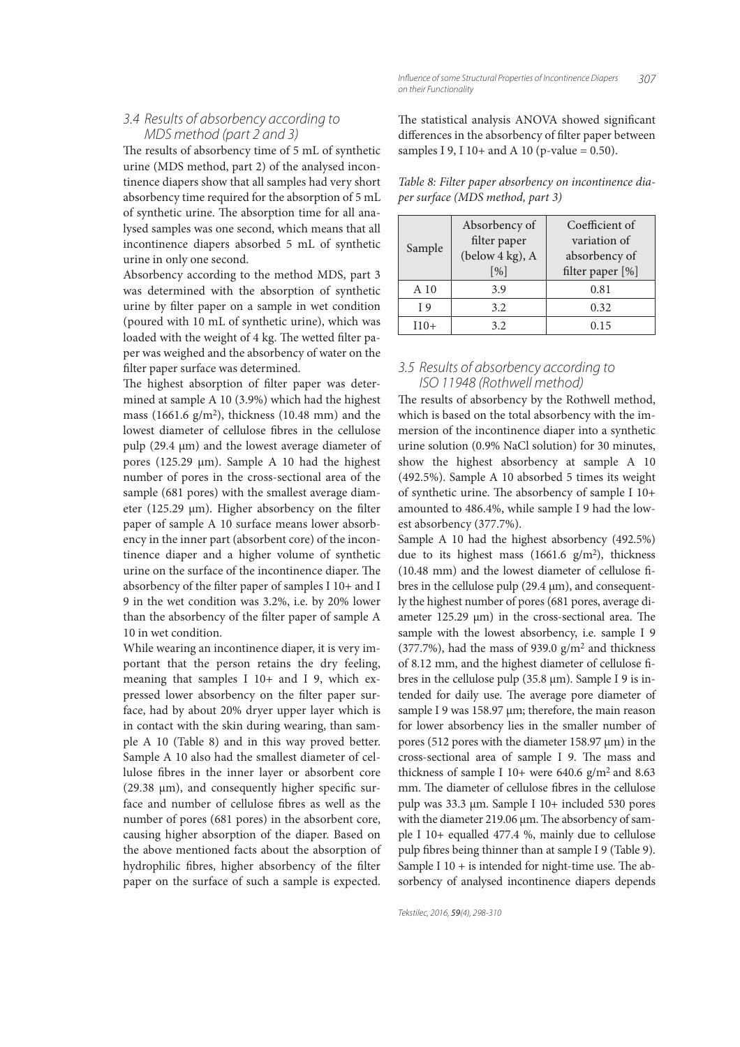The results of absorbency time of 5 mL of synthetic urine (MDS method, part 2) of the analysed incontinence diapers show that all samples had very short absorbency time required for the absorption of 5 mL of synthetic urine. The absorption time for all analysed samples was one second, which means that all incontinence diapers absorbed 5 mL of synthetic urine in only one second.

Absorbency according to the method MDS, part 3 was determined with the absorption of synthetic urine by filter paper on a sample in wet condition (poured with 10 mL of synthetic urine), which was loaded with the weight of 4 kg. The wetted filter paper was weighed and the absorbency of water on the filter paper surface was determined.

The highest absorption of filter paper was determined at sample A 10 (3.9%) which had the highest mass (1661.6 g/m<sup>2</sup> ), thickness (10.48 mm) and the lowest diameter of cellulose fibres in the cellulose pulp (29.4 µm) and the lowest average diameter of pores (125.29 µm). Sample A 10 had the highest number of pores in the cross-sectional area of the sample (681 pores) with the smallest average diameter (125.29  $\mu$ m). Higher absorbency on the filter paper of sample A 10 surface means lower absorbency in the inner part (absorbent core) of the incontinence diaper and a higher volume of synthetic urine on the surface of the incontinence diaper. The absorbency of the filter paper of samples I  $10+$  and I 9 in the wet condition was 3.2%, i.e. by 20% lower than the absorbency of the filter paper of sample A 10 in wet condition.

While wearing an incontinence diaper, it is very important that the person retains the dry feeling, meaning that samples I 10+ and I 9, which expressed lower absorbency on the filter paper surface, had by about 20% dryer upper layer which is in contact with the skin during wearing, than sample A 10 (Table 8) and in this way proved better. Sample A 10 also had the smallest diameter of cellulose fibres in the inner layer or absorbent core (29.38  $\mu$ m), and consequently higher specific surface and number of cellulose fibres as well as the number of pores (681 pores) in the absorbent core, causing higher absorption of the diaper. Based on the above mentioned facts about the absorption of hydrophilic fibres, higher absorbency of the filter paper on the surface of such a sample is expected. The statistical analysis ANOVA showed significant differences in the absorbency of filter paper between samples I 9, I 10+ and A 10 (p-value =  $0.50$ ).

| Table 8: Filter paper absorbency on incontinence dia- |  |
|-------------------------------------------------------|--|
| per surface (MDS method, part 3)                      |  |

| Sample | Absorbency of<br>filter paper<br>(below 4 kg), A<br>$\lceil \frac{9}{6} \rceil$ | Coefficient of<br>variation of<br>absorbency of<br>filter paper [%] |
|--------|---------------------------------------------------------------------------------|---------------------------------------------------------------------|
| A 10   | 3.9                                                                             | 0.81                                                                |
| T 9    | 3.2                                                                             | 0.32                                                                |
| $110+$ | 3.2                                                                             | 0.15                                                                |

# *3.5 Results of absorbency according to ISO 11948 (Rothwell method)*

The results of absorbency by the Rothwell method, which is based on the total absorbency with the immersion of the incontinence diaper into a synthetic urine solution (0.9% NaCl solution) for 30 minutes, show the highest absorbency at sample A 10 (492.5%). Sample A 10 absorbed 5 times its weight of synthetic urine. The absorbency of sample I 10+ amounted to 486.4%, while sample I 9 had the lowest absorbency (377.7%).

Sample A 10 had the highest absorbency (492.5%) due to its highest mass (1661.6 g/m<sup>2</sup>), thickness  $(10.48 \text{ mm})$  and the lowest diameter of cellulose fibres in the cellulose pulp  $(29.4 \,\mu m)$ , and consequently the highest number of pores (681 pores, average diameter  $125.29 \text{ }\mu\text{m}$ ) in the cross-sectional area. The sample with the lowest absorbency, i.e. sample I 9  $(377.7%)$ , had the mass of 939.0 g/m<sup>2</sup> and thickness of 8.12 mm, and the highest diameter of cellulose fibres in the cellulose pulp (35.8 µm). Sample I 9 is intended for daily use. The average pore diameter of sample I 9 was 158.97 µm; therefore, the main reason for lower absorbency lies in the smaller number of pores (512 pores with the diameter 158.97 µm) in the cross-sectional area of sample I 9. The mass and thickness of sample I 10+ were 640.6  $g/m^2$  and 8.63 mm. The diameter of cellulose fibres in the cellulose pulp was 33.3 µm. Sample I 10+ included 530 pores with the diameter 219.06  $\mu$ m. The absorbency of sample I 10+ equalled 477.4 %, mainly due to cellulose pulp fibres being thinner than at sample I 9 (Table 9). Sample I  $10 +$  is intended for night-time use. The absorbency of analysed incontinence diapers depends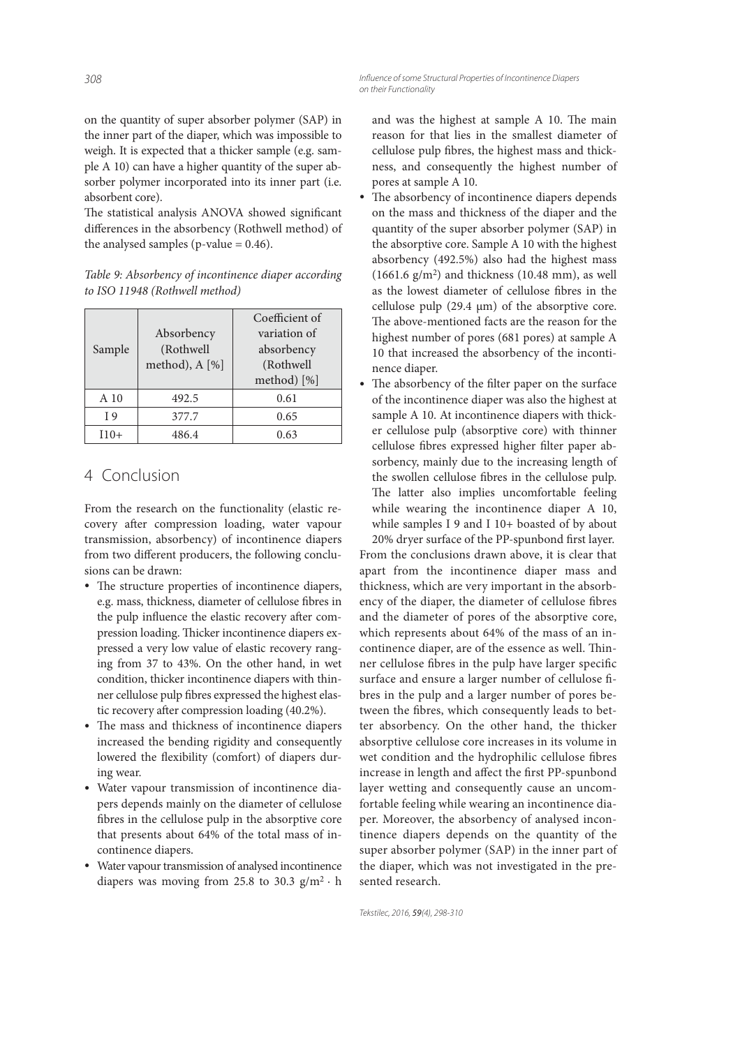on the quantity of super absorber polymer (SAP) in the inner part of the diaper, which was impossible to weigh. It is expected that a thicker sample (e.g. sample A 10) can have a higher quantity of the super absorber polymer incorporated into its inner part (i.e. absorbent core).

The statistical analysis ANOVA showed significant differences in the absorbency (Rothwell method) of the analysed samples ( $p$ -value = 0.46).

Table 9: Absorbency of incontinence diaper according to ISO 11948 (Rothwell method)

| Sample | Absorbency<br>(Rothwell<br>method), A [%] | Coefficient of<br>variation of<br>absorbency<br>(Rothwell<br>method) [%] |
|--------|-------------------------------------------|--------------------------------------------------------------------------|
| A 10   | 492.5                                     | 0.61                                                                     |
| T 9    | 377.7                                     | 0.65                                                                     |
| $110+$ | 486 4                                     | በ 63                                                                     |

# 4 Conclusion

From the research on the functionality (elastic recovery after compression loading, water vapour transmission, absorbency) of incontinence diapers from two different producers, the following conclusions can be drawn:

- The structure properties of incontinence diapers, e.g. mass, thickness, diameter of cellulose fibres in the pulp influence the elastic recovery after compression loading. Thicker incontinence diapers expressed a very low value of elastic recovery ranging from 37 to 43%. On the other hand, in wet condition, thicker incontinence diapers with thinner cellulose pulp fibres expressed the highest elastic recovery after compression loading (40.2%).
- The mass and thickness of incontinence diapers increased the bending rigidity and consequently lowered the flexibility (comfort) of diapers during wear.
- Water vapour transmission of incontinence diapers depends mainly on the diameter of cellulose fibres in the cellulose pulp in the absorptive core that presents about 64% of the total mass of incontinence diapers.
- Water vapour transmission of analysed incontinence diapers was moving from 25.8 to 30.3  $g/m^2 \cdot h$

and was the highest at sample A 10. The main reason for that lies in the smallest diameter of cellulose pulp fibres, the highest mass and thickness, and consequently the highest number of pores at sample A 10.

- The absorbency of incontinence diapers depends on the mass and thickness of the diaper and the quantity of the super absorber polymer (SAP) in the absorptive core. Sample A 10 with the highest absorbency (492.5%) also had the highest mass  $(1661.6 \text{ g/m}^2)$  and thickness  $(10.48 \text{ mm})$ , as well as the lowest diameter of cellulose fibres in the cellulose pulp  $(29.4 \mu m)$  of the absorptive core. The above-mentioned facts are the reason for the highest number of pores (681 pores) at sample A 10 that increased the absorbency of the incontinence diaper.
- The absorbency of the filter paper on the surface of the incontinence diaper was also the highest at sample A 10. At incontinence diapers with thicker cellulose pulp (absorptive core) with thinner cellulose fibres expressed higher filter paper absorbency, mainly due to the increasing length of the swollen cellulose fibres in the cellulose pulp. The latter also implies uncomfortable feeling while wearing the incontinence diaper A 10, while samples I 9 and I 10+ boasted of by about 20% dryer surface of the PP-spunbond first layer.

From the conclusions drawn above, it is clear that apart from the incontinence diaper mass and thickness, which are very important in the absorbency of the diaper, the diameter of cellulose fibres and the diameter of pores of the absorptive core, which represents about 64% of the mass of an incontinence diaper, are of the essence as well. Thinner cellulose fibres in the pulp have larger specific surface and ensure a larger number of cellulose fibres in the pulp and a larger number of pores between the fibres, which consequently leads to better absorbency. On the other hand, the thicker absorptive cellulose core increases in its volume in wet condition and the hydrophilic cellulose fibres increase in length and affect the first PP-spunbond layer wetting and consequently cause an uncomfortable feeling while wearing an incontinence diaper. Moreover, the absorbency of analysed incontinence diapers depends on the quantity of the super absorber polymer (SAP) in the inner part of the diaper, which was not investigated in the presented research.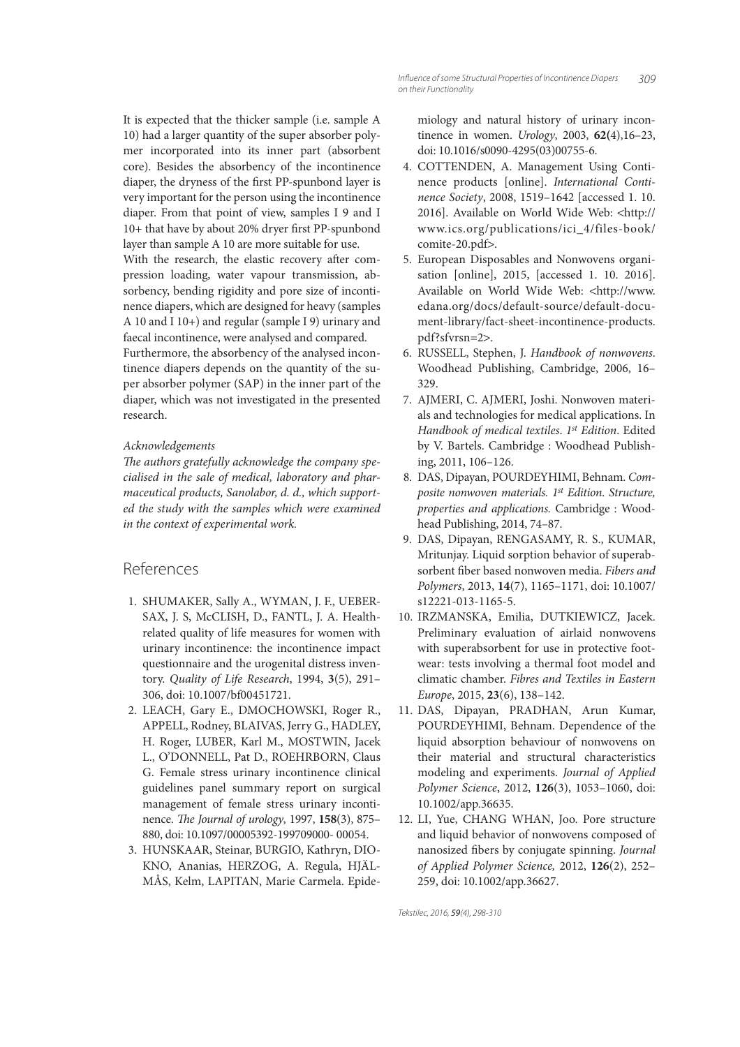It is expected that the thicker sample (i.e. sample A 10) had a larger quantity of the super absorber polymer incorporated into its inner part (absorbent core). Besides the absorbency of the incontinence diaper, the dryness of the first PP-spunbond layer is very important for the person using the incontinence diaper. From that point of view, samples I 9 and I 10+ that have by about 20% dryer first PP-spunbond layer than sample A 10 are more suitable for use. With the research, the elastic recovery after compression loading, water vapour transmission, absorbency, bending rigidity and pore size of incontinence diapers, which are designed for heavy (samples A 10 and I 10+) and regular (sample I 9) urinary and faecal incontinence, were analysed and compared. Furthermore, the absorbency of the analysed incontinence diapers depends on the quantity of the super absorber polymer (SAP) in the inner part of the diaper, which was not investigated in the presented research.

#### Acknowledgements

The authors gratefully acknowledge the company specialised in the sale of medical, laboratory and pharmaceutical products, Sanolabor, d. d., which supported the study with the samples which were examined in the context of experimental work.

# References

- 1. SHUMAKER, Sally A., WYMAN, J. F., UEBER-SAX, J. S, McCLISH, D., FANTL, J. A. Healthrelated quality of life measures for women with urinary incontinence: the incontinence impact questionnaire and the urogenital distress inventory. Quality of Life Research, 1994, **3**(5), 291– 306, doi: 10.1007/bf00451721.
- 2. LEACH, Gary E., DMOCHOWSKI, Roger R., APPELL, Rodney, BLAIVAS, Jerry G., HADLEY, H. Roger, LUBER, Karl M., MOSTWIN, Jacek L., O'DONNELL, Pat D., ROEHRBORN, Claus G. Female stress urinary incontinence clinical guidelines panel summary report on surgical management of female stress urinary incontinence. The Journal of urology, 1997, 158(3), 875– 880, doi: 10.1097/00005392-199709000- 00054.
- 3. HUNSKAAR, Steinar, BURGIO, Kathryn, DIO-KNO, Ananias, HERZOG, A. Regula, HJÄL-MÅS, Kelm, LAPITAN, Marie Carmela. Epide-

miology and natural history of urinary incontinence in women. Urology, 2003, **62(**4),16–23, doi: 10.1016/s0090-4295(03)00755-6.

- 4. COTTENDEN, A. Management Using Continence products [online]. International Continence Society, 2008, 1519–1642 [accessed 1. 10. 2016]. Available on World Wide Web: <http:// www.ics.org/publications/ici\_4/files-book/ comite-20.pdf>.
- 5. European Disposables and Nonwovens organisation [online], 2015, [accessed 1. 10. 2016]. Available on World Wide Web: <http://www. edana.org/docs/default-source/default-document-library/fact-sheet-incontinence-products. pdf?sfvrsn=2>.
- 6. RUSSELL, Stephen, J. Handbook of nonwovens. Woodhead Publishing, Cambridge, 2006, 16– 329.
- 7. AJMERI, C. AJMERI, Joshi. Nonwoven materials and technologies for medical applications. In Handbook of medical textiles. 1st Edition. Edited by V. Bartels. Cambridge : Woodhead Publishing, 2011, 106–126.
- 8. DAS, Dipayan, POURDEYHIMI, Behnam. Composite nonwoven materials. 1<sup>st</sup> Edition. Structure, properties and applications. Cambridge : Woodhead Publishing, 2014, 74–87.
- 9. DAS, Dipayan, RENGASAMY, R. S., KUMAR, Mritunjay. Liquid sorption behavior of superabsorbent fiber based nonwoven media. Fibers and Polymers, 2013, **14**(7), 1165–1171, doi: 10.1007/ s12221-013-1165-5.
- 10. IRZMANSKA, Emilia, DUTKIEWICZ, Jacek. Preliminary evaluation of airlaid nonwovens with superabsorbent for use in protective footwear: tests involving a thermal foot model and climatic chamber. Fibres and Textiles in Eastern Europe, 2015, **23**(6), 138–142.
- 11. DAS, Dipayan, PRADHAN, Arun Kumar, POURDEYHIMI, Behnam. Dependence of the liquid absorption behaviour of nonwovens on their material and structural characteristics modeling and experiments. Journal of Applied Polymer Science, 2012, **126**(3), 1053–1060, doi: 10.1002/app.36635.
- 12. LI, Yue, CHANG WHAN, Joo. Pore structure and liquid behavior of nonwovens composed of nanosized fibers by conjugate spinning. Journal of Applied Polymer Science, 2012, **126**(2), 252– 259, doi: 10.1002/app.36627.